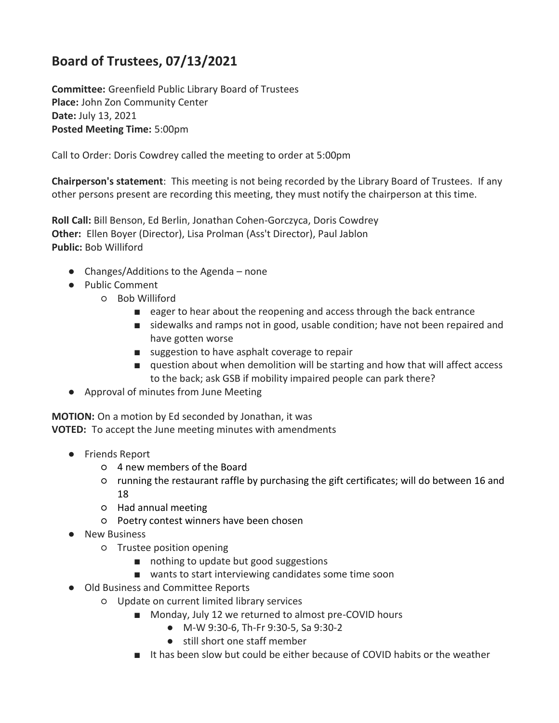## **Board of Trustees, 07/13/2021**

**Committee:** Greenfield Public Library Board of Trustees **Place:** John Zon Community Center **Date:** July 13, 2021 **Posted Meeting Time:** 5:00pm

Call to Order: Doris Cowdrey called the meeting to order at 5:00pm

**Chairperson's statement**: This meeting is not being recorded by the Library Board of Trustees. If any other persons present are recording this meeting, they must notify the chairperson at this time.

**Roll Call:** Bill Benson, Ed Berlin, Jonathan Cohen-Gorczyca, Doris Cowdrey **Other:** Ellen Boyer (Director), Lisa Prolman (Ass't Director), Paul Jablon **Public:** Bob Williford

- Changes/Additions to the Agenda none
- Public Comment
	- Bob Williford
		- eager to hear about the reopening and access through the back entrance
		- sidewalks and ramps not in good, usable condition; have not been repaired and have gotten worse
		- suggestion to have asphalt coverage to repair
		- question about when demolition will be starting and how that will affect access to the back; ask GSB if mobility impaired people can park there?
- Approval of minutes from June Meeting

**MOTION:** On a motion by Ed seconded by Jonathan, it was **VOTED:** To accept the June meeting minutes with amendments

- Friends Report
	- 4 new members of the Board
	- running the restaurant raffle by purchasing the gift certificates; will do between 16 and 18
	- Had annual meeting
	- Poetry contest winners have been chosen
- New Business
	- Trustee position opening
		- nothing to update but good suggestions
		- wants to start interviewing candidates some time soon
- Old Business and Committee Reports
	- Update on current limited library services
		- Monday, July 12 we returned to almost pre-COVID hours
			- M-W 9:30-6, Th-Fr 9:30-5, Sa 9:30-2
			- still short one staff member
		- It has been slow but could be either because of COVID habits or the weather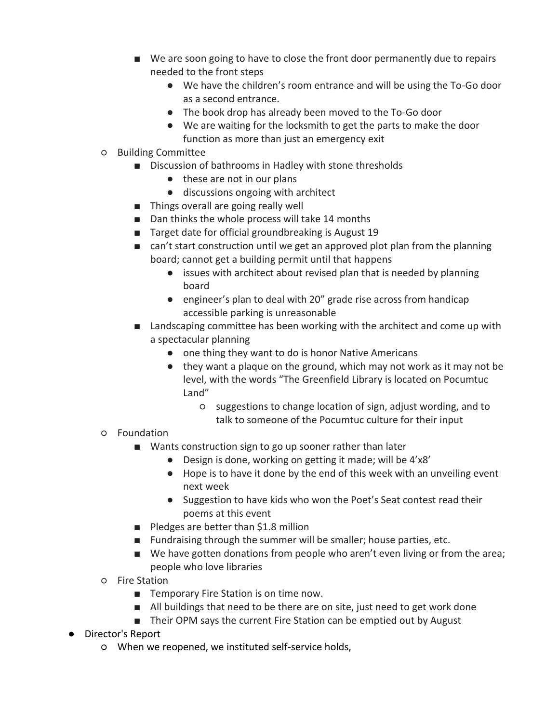- We are soon going to have to close the front door permanently due to repairs needed to the front steps
	- We have the children's room entrance and will be using the To-Go door as a second entrance.
	- The book drop has already been moved to the To-Go door
	- We are waiting for the locksmith to get the parts to make the door function as more than just an emergency exit
- Building Committee
	- Discussion of bathrooms in Hadley with stone thresholds
		- these are not in our plans
		- discussions ongoing with architect
	- Things overall are going really well
	- Dan thinks the whole process will take 14 months
	- Target date for official groundbreaking is August 19
	- can't start construction until we get an approved plot plan from the planning board; cannot get a building permit until that happens
		- issues with architect about revised plan that is needed by planning board
		- engineer's plan to deal with 20" grade rise across from handicap accessible parking is unreasonable
	- Landscaping committee has been working with the architect and come up with a spectacular planning
		- one thing they want to do is honor Native Americans
		- they want a plaque on the ground, which may not work as it may not be level, with the words "The Greenfield Library is located on Pocumtuc Land"
			- suggestions to change location of sign, adjust wording, and to talk to someone of the Pocumtuc culture for their input
- Foundation
	- Wants construction sign to go up sooner rather than later
		- Design is done, working on getting it made; will be 4'x8'
		- Hope is to have it done by the end of this week with an unveiling event next week
		- Suggestion to have kids who won the Poet's Seat contest read their poems at this event
	- Pledges are better than \$1.8 million
	- Fundraising through the summer will be smaller; house parties, etc.
	- We have gotten donations from people who aren't even living or from the area; people who love libraries
- Fire Station
	- Temporary Fire Station is on time now.
	- All buildings that need to be there are on site, just need to get work done
	- Their OPM says the current Fire Station can be emptied out by August
- Director's Report
	- When we reopened, we instituted self-service holds,